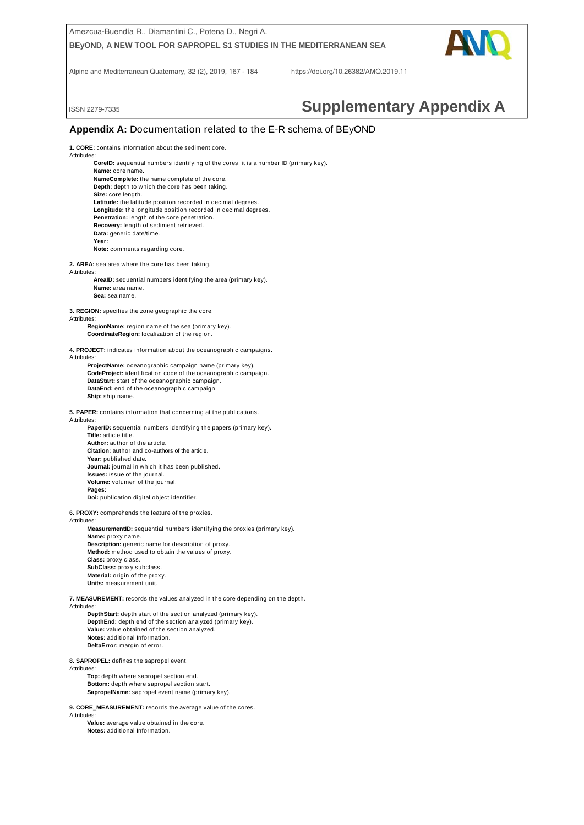

**1. CORE:** contains information about the sediment core.

**Attributes** 

**CoreID:** sequential numbers identifying of the cores, it is a number ID (primary key). **Name:** core name. **NameComplete:** the name complete of the core. Depth: depth to which the core has been taking. **Size:** core length. **Latitude:** the latitude position recorded in decimal degrees. **Longitude:** the longitude position recorded in decimal degrees. **Penetration:** length of the core penetration. **Recovery:** length of sediment retrieved. **Data:** generic date/time. **Year:** 

**Note:** comments regarding core.

**2. AREA:** sea area where the core has been taking.

Attributes:

**AreaID:** sequential numbers identifying the area (primary key). **Name:** area name. **Sea:** sea name.

**3. REGION:** specifies the zone geographic the core.

**Attributes** 

**RegionName:** region name of the sea (primary key). **CoordinateRegion:** localization of the region.

**4. PROJECT:** indicates information about the oceanographic campaigns.

Attributes:

**ProjectName:** oceanographic campaign name (primary key). **CodeProject:** identification code of the oceanographic campaign. **DataStart:** start of the oceanographic campaign. **DataEnd:** end of the oceanographic campaign. **Ship:** ship name.

**5. PAPER:** contains information that concerning at the publications.

Attributes:

**PaperID:** sequential numbers identifying the papers (primary key). **Title:** article title. **Author:** author of the article.

**Citation:** author and co-authors of the article.

**Year:** published date**.** Journal: journal in which it has been published.

**Issues:** issue of the journal.

**Volume:** volumen of the journal.

**Pages:**

**Doi:** publication digital object identifier.

**6. PROXY:** comprehends the feature of the proxies.

#### Attributes:

**MeasurementID:** sequential numbers identifying the proxies (primary key). **Name:** proxy name. **Description:** generic name for description of proxy. **Method:** method used to obtain the values of proxy.

**Class:** proxy class. **SubClass:** proxy subclass. **Material:** origin of the proxy. **Units:** measurement unit.

**7. MEASUREMENT:** records the values analyzed in the core depending on the depth. **Attributes** 

**DepthStart:** depth start of the section analyzed (primary key). **DepthEnd:** depth end of the section analyzed (primary key). **Value:** value obtained of the section analyzed. **Notes:** additional Information. **DeltaError:** margin of error.

**8. SAPROPEL:** defines the sapropel event.

Attributes:

**Top:** depth where sapropel section end. **Bottom:** depth where sapropel section start. **SapropelName:** sapropel event name (primary key).

**9. CORE\_MEASUREMENT:** records the average value of the cores.

Attributes:

**Value:** average value obtained in the core. **Notes:** additional Information.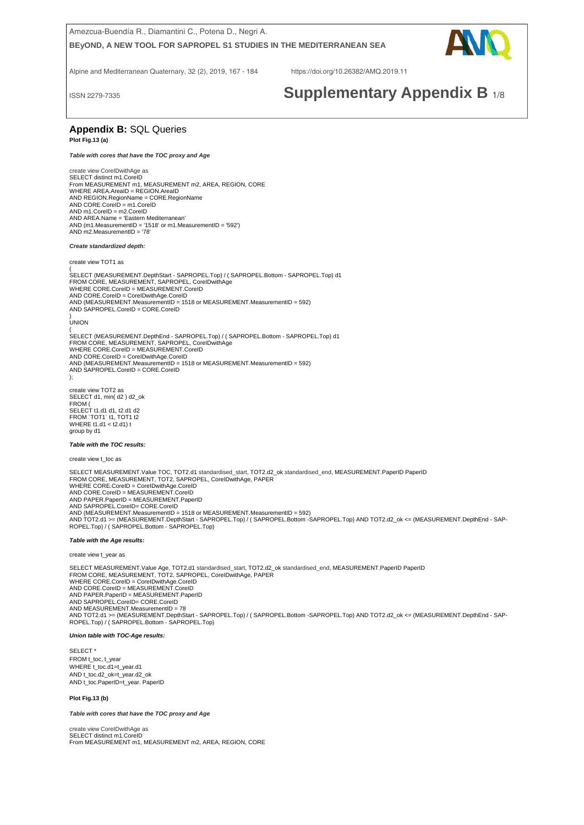

Alpine and Mediterranean Quaternary, 32 (2), 2019, 167 - 184 https://doi.org/10.26382/AMQ.2019.11

# ISSN 2279-7335 **Supplementary Appendix B** 1/8

### **Appendix B:** SQL Queries **Plot Fig.13 (a)**

# *Table with cores that have the TOC proxy and Age*

create view CoreIDwithAge as SELECT distinct m1.CoreID<br>From MEASUREMENT m1, MEASUREMENT m2, AREA, REGION, CORE<br>WHERE AREA.AreaID = REGION.AreaID AND REGION.RegionName = CORE.RegionName AND CORE.CoreID = m1.CoreID AND m1.CoreID = m2.CoreID AND AREA.Name = 'Eastern Mediterranean'<br>AND (m1.MeasurementID = '1518' or m1.MeasurementID = '592')<br>AND m2.MeasurementID = '78'

#### *Create standardized depth:*

create view TOT1 as

( SELECT (MEASUREMENT.DepthStart - SAPROPEL.Top) / ( SAPROPEL.Bottom - SAPROPEL.Top) d1 FROM CORE, MEASUREMENT, SAPROPEL, CoreIDwithAge WHERE CORE.CoreID = MEASUREMENT.CoreID AND CORE.CoreID = CoreIDwithAge.CoreID<br>AND (MEASUREMENT.MeasurementID = 1518 or MEASUREMENT.MeasurementID = 592)<br>AND SAPROPEL.CoreID = CORE.CoreID ) UNION

(<br>SELECT (MEASUREMENT.DepthEnd - SAPROPEL.Top) / ( SAPROPEL.Bottom - SAPROPEL.Top) d1<br>FROM CORE, MEASUREMENT, SAPROPEL, CorelDwithAge<br>WHERE CORE.CoreID = MEASUREMENT.CoreID AND CORE.CoreID = CoreIDwithAge.CoreID AND (MEASUREMENT.MeasurementID = 1518 or MEASUREMENT.MeasurementID = 592) AND SAPROPEL.CoreID = CORE.CoreID );

create view TOT2 as SELECT d1, min( d2 ) d2\_ok FROM ( SELECT t1.d1 d1, t2.d1 d2 FROM `TOT1` t1, TOT1 t2 WHERE t1.d1 < t2.d1) t group by d1

#### *Table with the TOC results:*

create view t\_toc as

SELECT MEASUREMENT.Value TOC, TOT2.d1 standardised\_start, TOT2.d2\_ok standardised\_end, MEASUREMENT.PaperID PaperID<br>FROM CORE, MEASUREMENT, TOT2, SAPROPEL, CoreIDwithAge, PAPER WHERE CORE.CoreID = CoreIDwithAge.CoreID AND CORE.CoreID = MEASUREMENT.CoreID AND PAPER.PaperID = MEASUREMENT.PaperID<br>AND SAPROPEL.CoreID= CORE.CoreID<br>AND (MEASUREMENT.MeasurementID = 1518 or MEASUREMENT.MeasurementID = 592) AND TOT2.d1 >= (MEASUREMENT.DepthStart - SAPROPEL.Top) / ( SAPROPEL.Bottom -SAPROPEL.Top) AND TOT2.d2\_ok <= (MEASUREMENT.DepthEnd - SAP-ROPEL.Top) / ( SAPROPEL.Bottom - SAPROPEL.Top)

#### *Table with the Age results:*

create view t\_year as

SELECT MEASUREMENT.Value Age, TOT2.d1 standardised\_start, TOT2.d2\_ok standardised\_end, MEASUREMENT.PaperID PaperID<br>FROM CORE, MEASUREMENT, TOT2, SAPROPEL, CoreIDwithAge, PAPER WHERE CORE.CoreID = CoreIDwithAge.CoreID<br>AND CORE.CoreID = MEASUREMENT.CoreID<br>AND PAPER.PaperID = MEASUREMENT.PaperID<br>AND SAPROPEL.CoreID= CORE.CoreID<br>AND MEASUREMENT.MeasurementID = 78 AND TOT2.d1 >= (MEASUREMENT.DepthStart - SAPROPEL.Top) / ( SAPROPEL.Bottom -SAPROPEL.Top) AND TOT2.d2\_ok <= (MEASUREMENT.DepthEnd - SAP-ROPEL.Top) / ( SAPROPEL.Bottom - SAPROPEL.Top)

#### *Union table with TOC-Age results:*

SELECT<sup>\*</sup> FROM t\_toc, t\_year WHERE t\_toc.d1=t\_year.d1 AND t\_toc.d2\_ok=t\_year.d2\_ok AND t\_toc.PaperID=t\_year. PaperID

#### **Plot Fig.13 (b)**

*Table with cores that have the TOC proxy and Age* 

create view CoreIDwithAge as SELECT distinct m1.CoreID From MEASUREMENT m1, MEASUREMENT m2, AREA, REGION, CORE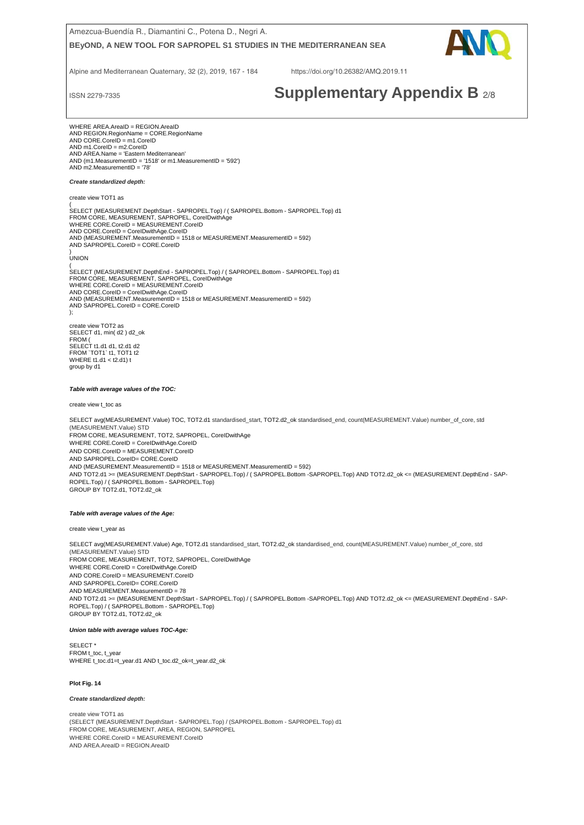

Alpine and Mediterranean Quaternary, 32 (2), 2019, 167 - 184 https://doi.org/10.26382/AMQ.2019.11

# ISSN 2279-7335 **Supplementary Appendix B** 2/8

AND  $m1$ .CoreID = m2.CoreID WHERE AREA.AreaID = REGION.AreaID AND REGION.RegionName = CORE.RegionName AND CORE.CoreID = m1.CoreID AND AREA.Name = 'Eastern Mediterranean' AND (m1.MeasurementID = '1518' or m1.MeasurementID = '592') AND m2.MeasurementID = '78'

#### *Create standardized depth:*

create view TOT1 as

( SELECT (MEASUREMENT.DepthStart - SAPROPEL.Top) / ( SAPROPEL.Bottom - SAPROPEL.Top) d1 FROM CORE, MEASUREMENT, SAPROPEL, CoreIDwithAge WHERE CORE.CoreID = MEASUREMENT.CoreID<br>AND CORE.CoreID = CoreIDwithAge.CoreID<br>AND (MEASUREMENT.MeasurementID = 1518 or MEASUREMENT.MeasurementID = 592)<br>AND SAPROPEL.CoreID = CORE.CoreID

) UNION

( SELECT (MEASUREMENT.DepthEnd - SAPROPEL.Top) / ( SAPROPEL.Bottom - SAPROPEL.Top) d1 FROM CORE, MEASUREMENT, SAPROPEL, CoreIDwithAge WHERE CORE.CoreID = MEASUREMENT.CoreID AND CORE.CoreID = CoreIDwithAge.CoreID AND (MEASUREMENT.MeasurementID = 1518 or MEASUREMENT.MeasurementID = 592) AND SAPROPEL.CoreID = CORE.CoreID ); create view TOT2 as SELECT d1, min( d2 ) d2\_ok FROM (

SELECT t1.d1 d1, t2.d1 d2 FROM `TOT1` t1, TOT1 t2 WHERE t1.d1 < t2.d1) t group by d1

#### *Table with average values of the TOC:*

create view t\_toc as

SELECT avg(MEASUREMENT.Value) TOC, TOT2.d1 standardised\_start, TOT2.d2\_ok standardised\_end, count(MEASUREMENT.Value) number\_of\_core, std (MEASUREMENT.Value) STD FROM CORE, MEASUREMENT, TOT2, SAPROPEL, CoreIDwithAge WHERE CORE.CoreID = CoreIDwithAge.CoreID AND CORE.CoreID = MEASUREMENT.CoreID AND SAPROPEL CoreID= CORE CoreID AND (MEASUREMENT.MeasurementID = 1518 or MEASUREMENT.MeasurementID = 592) AND TOT2.d1 >= (MEASUREMENT.DepthStart - SAPROPEL.Top) / ( SAPROPEL.Bottom -SAPROPEL.Top) AND TOT2.d2\_ok <= (MEASUREMENT.DepthEnd - SAP-ROPEL.Top) / ( SAPROPEL.Bottom - SAPROPEL.Top) GROUP BY TOT2.d1, TOT2.d2\_ok

#### *Table with average values of the Age:*

create view t\_year as

SELECT avg(MEASUREMENT.Value) Age, TOT2.d1 standardised\_start, TOT2.d2\_ok standardised\_end, count(MEASUREMENT.Value) number\_of\_core, std (MEASUREMENT.Value) STD FROM CORE, MEASUREMENT, TOT2, SAPROPEL, CoreIDwithAge WHERE CORE.CoreID = CoreIDwithAge.CoreID AND CORE.CoreID = MEASUREMENT.CoreID AND SAPROPEL.CoreID= CORE.CoreID AND MEASUREMENT.MeasurementID = 78 AND TOT2.d1 >= (MEASUREMENT.DepthStart - SAPROPEL.Top) / ( SAPROPEL.Bottom -SAPROPEL.Top) AND TOT2.d2\_ok <= (MEASUREMENT.DepthEnd - SAP-ROPEL.Top) / ( SAPROPEL.Bottom - SAPROPEL.Top) GROUP BY TOT2.d1, TOT2.d2\_ok

#### *Union table with average values TOC-Age:*

SELECT<sup>\*</sup> FROM t\_toc, t\_year WHERE t\_toc.d1=t\_year.d1 AND t\_toc.d2\_ok=t\_year.d2\_ok

#### **Plot Fig. 14**

*Create standardized depth:* 

create view TOT1 as (SELECT (MEASUREMENT.DepthStart - SAPROPEL.Top) / (SAPROPEL.Bottom - SAPROPEL.Top) d1 FROM CORE, MEASUREMENT, AREA, REGION, SAPROPEL WHERE CORE.CoreID = MEASUREMENT.CoreID AND AREA.AreaID = REGION.AreaID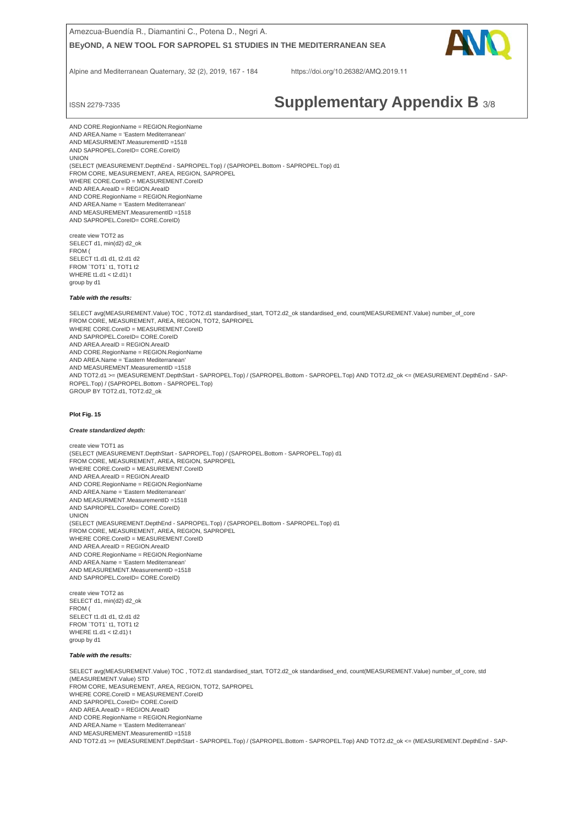

Alpine and Mediterranean Quaternary, 32 (2), 2019, 167 - 184 https://doi.org/10.26382/AMQ.2019.11

# ISSN 2279-7335 **Supplementary Appendix B** 3/8

 AND SAPROPEL.CoreID= CORE.CoreID) AND CORE.RegionName = REGION.RegionName AND AREA.Name = 'Eastern Mediterranea AND MEASURMENT.MeasurementID =1518 UNION (SELECT (MEASUREMENT.DepthEnd - SAPROPEL.Top) / (SAPROPEL.Bottom - SAPROPEL.Top) d1 FROM CORE, MEASUREMENT, AREA, REGION, SAPROPEL WHERE CORE.CoreID = MEASUREMENT.CoreID AND AREA.AreaID = REGION.AreaID AND CORE.RegionName = REGION.RegionName AND AREA.Name = 'Eastern Mediterranean' AND MEASUREMENT.MeasurementID =1518 AND SAPROPEL.CoreID= CORE.CoreID)

create view TOT2 as SELECT d1, min(d2) d2\_ok FROM ( SELECT t1.d1 d1, t2.d1 d2 FROM `TOT1` t1, TOT1 t2 WHERE t1.d1 < t2.d1) t group by d1

#### *Table with the results:*

SELECT avg(MEASUREMENT.Value) TOC , TOT2.d1 standardised\_start, TOT2.d2\_ok standardised\_end, count(MEASUREMENT.Value) number\_of\_core FROM CORE, MEASUREMENT, AREA, REGION, TOT2, SAPROPEL WHERE CORE.CoreID = MEASUREMENT.CoreID AND SAPROPEL.CoreID= CORE.CoreID AND AREA.AreaID = REGION.AreaID AND CORE.RegionName = REGION.RegionName AND AREA.Name = 'Eastern Mediterranean' AND MEASUREMENT.MeasurementID =1518 AND TOT2.d1 >= (MEASUREMENT.DepthStart - SAPROPEL.Top) / (SAPROPEL.Bottom - SAPROPEL.Top) AND TOT2.d2\_ok <= (MEASUREMENT.DepthEnd - SAP-ROPEL.Top) / (SAPROPEL.Bottom - SAPROPEL.Top) GROUP BY TOT2.d1, TOT2.d2\_ok

#### **Plot Fig. 15**

#### *Create standardized depth:*

create view TOT1 as (SELECT (MEASUREMENT.DepthStart - SAPROPEL.Top) / (SAPROPEL.Bottom - SAPROPEL.Top) d1 FROM CORE, MEASUREMENT, AREA, REGION, SAPROPEL WHERE CORE CoreID = MEASUREMENT CoreID AND AREA.AreaID = REGION.AreaID AND CORE.RegionName = REGION.RegionName AND AREA.Name = 'Eastern Mediterranean' AND MEASURMENT.MeasurementID =1518 AND SAPROPEL.CoreID= CORE.CoreID) UNION (SELECT (MEASUREMENT.DepthEnd - SAPROPEL.Top) / (SAPROPEL.Bottom - SAPROPEL.Top) d1 FROM CORE, MEASUREMENT, AREA, REGION, SAPROPEL WHERE CORE.CoreID = MEASUREMENT.CoreID AND AREA.AreaID = REGION.AreaID AND CORE.RegionName = REGION.RegionName AND AREA.Name = 'Eastern Mediterranean' AND MEASUREMENT.MeasurementID =1518 AND SAPROPEL.CoreID= CORE.CoreID)

create view TOT2 as SELECT d1, min(d2) d2\_ok FROM ( SELECT t1.d1 d1, t2.d1 d2 FROM 'TOT1' t1, TOT1 t2 WHERE t1.d1 < t2.d1) t group by d1

#### *Table with the results:*

SELECT avg(MEASUREMENT.Value) TOC , TOT2.d1 standardised\_start, TOT2.d2\_ok standardised\_end, count(MEASUREMENT.Value) number\_of\_core, std (MEASUREMENT.Value) STD FROM CORE, MEASUREMENT, AREA, REGION, TOT2, SAPROPEL WHERE CORE CoreID = MEASUREMENT CoreID AND SAPROPEL.CoreID= CORE.CoreID AND AREA.AreaID = REGION.AreaID AND CORE.RegionName = REGION.RegionName AND AREA.Name = 'Eastern Mediterranean' AND MEASUREMENT.MeasurementID =1518 AND TOT2.d1 >= (MEASUREMENT.DepthStart - SAPROPEL.Top) / (SAPROPEL.Bottom - SAPROPEL.Top) AND TOT2.d2\_ok <= (MEASUREMENT.DepthEnd - SAP-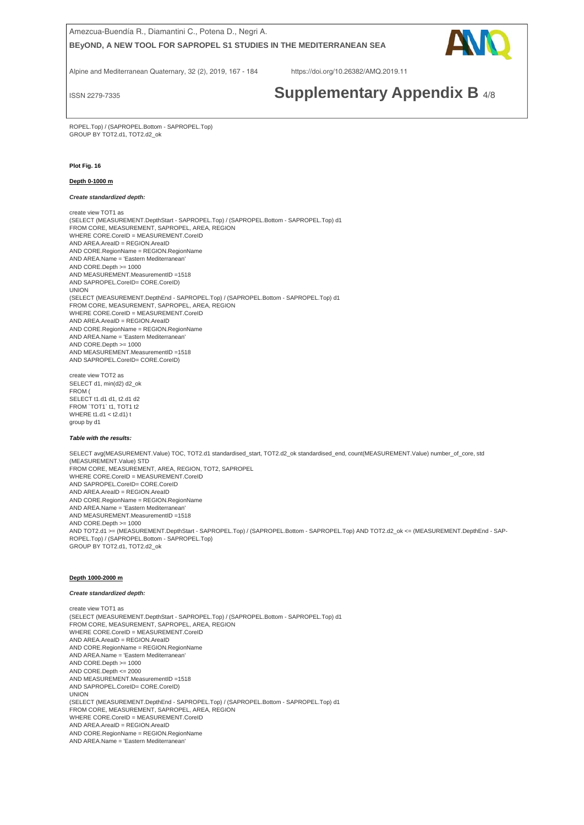

Alpine and Mediterranean Quaternary, 32 (2), 2019, 167 - 184 https://doi.org/10.26382/AMQ.2019.11

# ISSN 2279-7335 **Supplementary Appendix B** 4/8

ROPEL.Top) / (SAPROPEL.Bottom - SAPROPEL.Top) GROUP BY TOT2.d1, TOT2.d2\_ok

### **Plot Fig. 16**

#### **Depth 0-1000 m**

*Create standardized depth:* 

create view TOT1 as (SELECT (MEASUREMENT.DepthStart - SAPROPEL.Top) / (SAPROPEL.Bottom - SAPROPEL.Top) d1 FROM CORE, MEASUREMENT, SAPROPEL, AREA, REGION WHERE CORE.CoreID = MEASUREMENT.CoreID AND AREA.AreaID = REGION.AreaID AND CORE.RegionName = REGION.RegionName AND AREA.Name = 'Eastern Mediterranean' AND CORE.Depth >= 1000 AND MEASUREMENT.MeasurementID =1518 AND SAPROPEL.CoreID= CORE.CoreID) UNION (SELECT (MEASUREMENT.DepthEnd - SAPROPEL.Top) / (SAPROPEL.Bottom - SAPROPEL.Top) d1 FROM CORE, MEASUREMENT, SAPROPEL, AREA, REGION WHERE CORE.CoreID = MEASUREMENT.CoreID AND AREA.AreaID = REGION.AreaID AND CORE.RegionName = REGION.RegionName AND AREA.Name = 'Eastern Mediterranean' AND CORE.Depth >= 1000 AND MEASUREMENT.MeasurementID =1518 AND SAPROPEL.CoreID= CORE.CoreID)

create view TOT2 as SELECT d1, min(d2) d2\_ok FROM ( SELECT t1.d1 d1, t2.d1 d2 FROM 'TOT1' t1, TOT1 t2 WHERE t1.d1 < t2.d1) t group by d1

### *Table with the results:*

SELECT avg(MEASUREMENT.Value) TOC, TOT2.d1 standardised\_start, TOT2.d2\_ok standardised\_end, count(MEASUREMENT.Value) number\_of\_core, std (MEASUREMENT.Value) STD FROM CORE, MEASUREMENT, AREA, REGION, TOT2, SAPROPEL WHERE CORE.CoreID = MEASUREMENT.CoreID AND SAPROPEL.CoreID= CORE.CoreID AND AREA.AreaID = REGION.AreaID AND CORE.RegionName = REGION.RegionName AND AREA.Name = 'Eastern Mediterranean' AND MEASUREMENT.MeasurementID =1518 AND CORE Depth  $>= 1000$ AND TOT2.d1 >= (MEASUREMENT.DepthStart - SAPROPEL.Top) / (SAPROPEL.Bottom - SAPROPEL.Top) AND TOT2.d2\_ok <= (MEASUREMENT.DepthEnd - SAP-ROPEL.Top) / (SAPROPEL.Bottom - SAPROPEL.Top) GROUP BY TOT2.d1, TOT2.d2\_ok

#### **Depth 1000-2000 m**

#### *Create standardized depth:*

create view TOT1 as (SELECT (MEASUREMENT.DepthStart - SAPROPEL.Top) / (SAPROPEL.Bottom - SAPROPEL.Top) d1 FROM CORE, MEASUREMENT, SAPROPEL, AREA, REGION WHERE CORE.CoreID = MEASUREMENT.CoreID AND AREA.AreaID = REGION.AreaID AND CORE.RegionName = REGION.RegionName AND AREA.Name = 'Eastern Mediterranean' AND CORE.Depth >= 1000 AND CORE.Depth <= 2000 AND MEASUREMENT.MeasurementID =1518 AND SAPROPEL.CoreID= CORE.CoreID) UNION (SELECT (MEASUREMENT.DepthEnd - SAPROPEL.Top) / (SAPROPEL.Bottom - SAPROPEL.Top) d1 FROM CORE, MEASUREMENT, SAPROPEL, AREA, REGION WHERE CORE.CoreID = MEASUREMENT.CoreID AND AREA.AreaID = REGION.AreaID AND CORE.RegionName = REGION.RegionName AND AREA.Name = 'Eastern Mediterranean'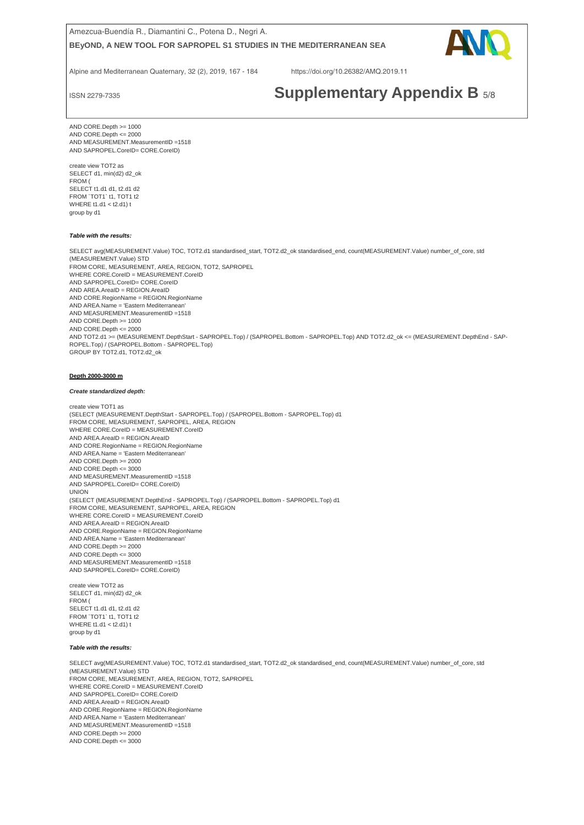

Alpine and Mediterranean Quaternary, 32 (2), 2019, 167 - 184 https://doi.org/10.26382/AMQ.2019.11

# ISSN 2279-7335 **Supplementary Appendix B** 5/8

 AND SAPROPEL.CoreID= CORE.CoreID) AND CORE.Depth >= 1000 AND CORE.Depth <= 2000 AND MEASUREMENT.MeasurementID =1518

create view TOT2 as SELECT d1, min(d2) d2\_ok FROM ( SELECT t1.d1 d1, t2.d1 d2 FROM `TOT1` t1, TOT1 t2 WHERE t1.d1 < t2.d1) t group by d1

#### *Table with the results:*

SELECT avg(MEASUREMENT.Value) TOC, TOT2.d1 standardised\_start, TOT2.d2\_ok standardised\_end, count(MEASUREMENT.Value) number\_of\_core, std (MEASUREMENT.Value) STD FROM CORE, MEASUREMENT, AREA, REGION, TOT2, SAPROPEL WHERE CORE.CoreID = MEASUREMENT.CoreID AND SAPROPEL.CoreID= CORE.CoreID AND AREA.AreaID = REGION.AreaID AND CORE.RegionName = REGION.RegionName AND AREA.Name = 'Eastern Mediterranean' AND MEASUREMENT.MeasurementID =1518 AND CORE.Depth >= 1000 AND CORE.Depth <= 2000 AND TOT2.d1 >= (MEASUREMENT.DepthStart - SAPROPEL.Top) / (SAPROPEL.Bottom - SAPROPEL.Top) AND TOT2.d2\_ok <= (MEASUREMENT.DepthEnd - SAP-ROPEL.Top) / (SAPROPEL.Bottom - SAPROPEL.Top) GROUP BY TOT2.d1, TOT2.d2\_ok

#### **Depth 2000-3000 m**

#### *Create standardized depth:*

create view TOT1 as (SELECT (MEASUREMENT.DepthStart - SAPROPEL.Top) / (SAPROPEL.Bottom - SAPROPEL.Top) d1 FROM CORE, MEASUREMENT, SAPROPEL, AREA, REGION WHERE CORE.CoreID = MEASUREMENT.CoreID AND AREA.AreaID = REGION.AreaID AND CORE.RegionName = REGION.RegionName AND AREA.Name = 'Eastern Mediterranean' AND CORE.Depth >= 2000 AND CORE Depth  $\epsilon$  = 3000 AND MEASUREMENT.MeasurementID =1518 AND SAPROPEL.CoreID= CORE.CoreID) UNION (SELECT (MEASUREMENT.DepthEnd - SAPROPEL.Top) / (SAPROPEL.Bottom - SAPROPEL.Top) d1 FROM CORE, MEASUREMENT, SAPROPEL, AREA, REGION WHERE CORE.CoreID = MEASUREMENT.CoreID AND AREA.AreaID = REGION.AreaID AND CORE.RegionName = REGION.RegionName AND AREA.Name = 'Eastern Mediterranean' AND CORE.Depth >= 2000 AND CORE.Depth <= 3000 AND MEASUREMENT.MeasurementID =1518 AND SAPROPEL.CoreID= CORE.CoreID)

create view TOT2 as SELECT d1, min(d2) d2\_ok FROM ( SELECT t1.d1 d1, t2.d1 d2 FROM `TOT1` t1, TOT1 t2 WHERE t1.d1 < t2.d1) t group by d1

#### *Table with the results:*

SELECT avg(MEASUREMENT.Value) TOC, TOT2.d1 standardised\_start, TOT2.d2\_ok standardised\_end, count(MEASUREMENT.Value) number\_of\_core, std (MEASUREMENT.Value) STD FROM CORE, MEASUREMENT, AREA, REGION, TOT2, SAPROPEL WHERE CORE.CoreID = MEASUREMENT.CoreID AND SAPROPEL.CoreID= CORE.CoreID AND AREA.AreaID = REGION.AreaID AND CORE.RegionName = REGION.RegionName AND AREA.Name = 'Eastern Mediterranean' AND MEASUREMENT.MeasurementID =1518 AND CORE.Depth >= 2000 AND CORE.Depth <= 3000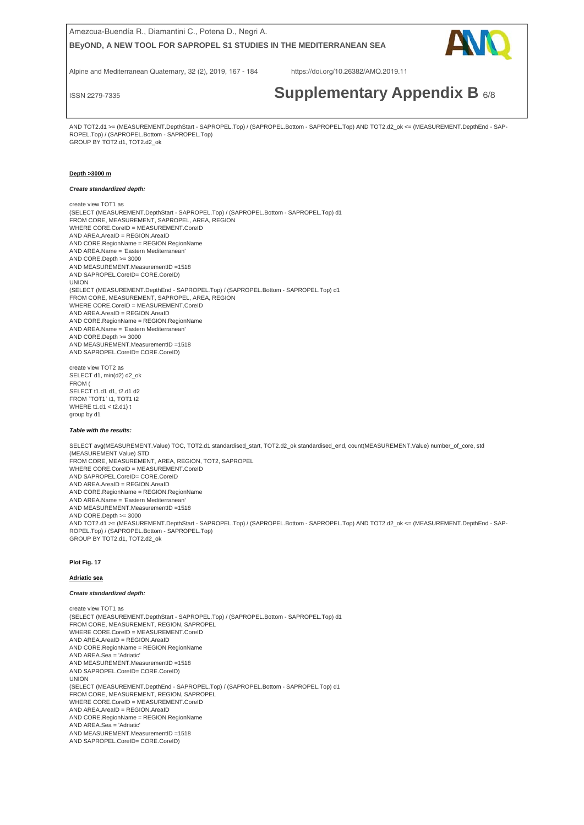

Alpine and Mediterranean Quaternary, 32 (2), 2019, 167 - 184 https://doi.org/10.26382/AMQ.2019.11

# ISSN 2279-7335 **Supplementary Appendix B** 6/8

 GROUP BY TOT2.d1, TOT2.d2\_ok AND TOT2.d1 >= (MEASUREMENT.DepthStart - SAPROPEL.Top) / (SAPROPEL.Bottom - SAPROPEL.Top) AND TOT2.d2\_ok <= (MEASUREMENT.DepthEnd - SAP-ROPEL.Top) / (SAPROPEL.Bottom - SAPROPEL.Top)

#### **Depth >3000 m**

*Create standardized depth:* 

create view TOT1 as (SELECT (MEASUREMENT.DepthStart - SAPROPEL.Top) / (SAPROPEL.Bottom - SAPROPEL.Top) d1 FROM CORE, MEASUREMENT, SAPROPEL, AREA, REGION WHERE CORE.CoreID = MEASUREMENT.CoreID AND AREA.AreaID = REGION.AreaID AND CORE.RegionName = REGION.RegionName AND AREA.Name = 'Eastern Mediterranean' AND CORE.Depth >= 3000 AND MEASUREMENT.MeasurementID =1518 AND SAPROPEL.CoreID= CORE.CoreID) UNION (SELECT (MEASUREMENT.DepthEnd - SAPROPEL.Top) / (SAPROPEL.Bottom - SAPROPEL.Top) d1 FROM CORE, MEASUREMENT, SAPROPEL, AREA, REGION WHERE CORE.CoreID = MEASUREMENT.CoreID AND AREA.AreaID = REGION.AreaID AND CORE.RegionName = REGION.RegionName AND AREA.Name = 'Eastern Mediterranean'  $AND$  CORE.Depth  $>= 3000$ AND MEASUREMENT.MeasurementID =1518 AND SAPROPEL.CoreID= CORE.CoreID)

create view TOT2 as SELECT d1, min(d2) d2\_ok FROM ( SELECT t1.d1 d1, t2.d1 d2 FROM `TOT1` t1, TOT1 t2 WHERE t1.d1 < t2.d1) t group by d1

#### *Table with the results:*

SELECT avg(MEASUREMENT.Value) TOC, TOT2.d1 standardised\_start, TOT2.d2\_ok standardised\_end, count(MEASUREMENT.Value) number\_of\_core, std (MEASUREMENT.Value) STD FROM CORE, MEASUREMENT, AREA, REGION, TOT2, SAPROPEL WHERE CORE CoreID = MEASUREMENT CoreID AND SAPROPEL.CoreID= CORE.CoreID AND AREA.AreaID = REGION.AreaID AND CORE.RegionName = REGION.RegionName AND AREA.Name = 'Eastern Mediterranean' AND MEASUREMENT.MeasurementID =1518 AND CORE.Depth >= 3000 AND TOT2.d1 >= (MEASUREMENT.DepthStart - SAPROPEL.Top) / (SAPROPEL.Bottom - SAPROPEL.Top) AND TOT2.d2\_ok <= (MEASUREMENT.DepthEnd - SAP-ROPEL.Top) / (SAPROPEL.Bottom - SAPROPEL.Top) GROUP BY TOT2.d1, TOT2.d2\_ok

#### **Plot Fig. 17**

#### **Adriatic sea**

#### *Create standardized depth:*

create view TOT1 as (SELECT (MEASUREMENT.DepthStart - SAPROPEL.Top) / (SAPROPEL.Bottom - SAPROPEL.Top) d1 FROM CORE, MEASUREMENT, REGION, SAPROPEL WHERE CORE.CoreID = MEASUREMENT.CoreID AND AREA.AreaID = REGION.AreaID AND CORE.RegionName = REGION.RegionName AND AREA.Sea = 'Adriatic' AND MEASUREMENT.MeasurementID =1518 AND SAPROPEL.CoreID= CORE.CoreID) UNION (SELECT (MEASUREMENT.DepthEnd - SAPROPEL.Top) / (SAPROPEL.Bottom - SAPROPEL.Top) d1 FROM CORE, MEASUREMENT, REGION, SAPROPEL WHERE CORE.CoreID = MEASUREMENT.CoreID AND AREA.AreaID = REGION.AreaID AND CORE.RegionName = REGION.RegionName AND AREA.Sea = 'Adriatic' AND MEASUREMENT.MeasurementID =1518 AND SAPROPEL.CoreID= CORE.CoreID)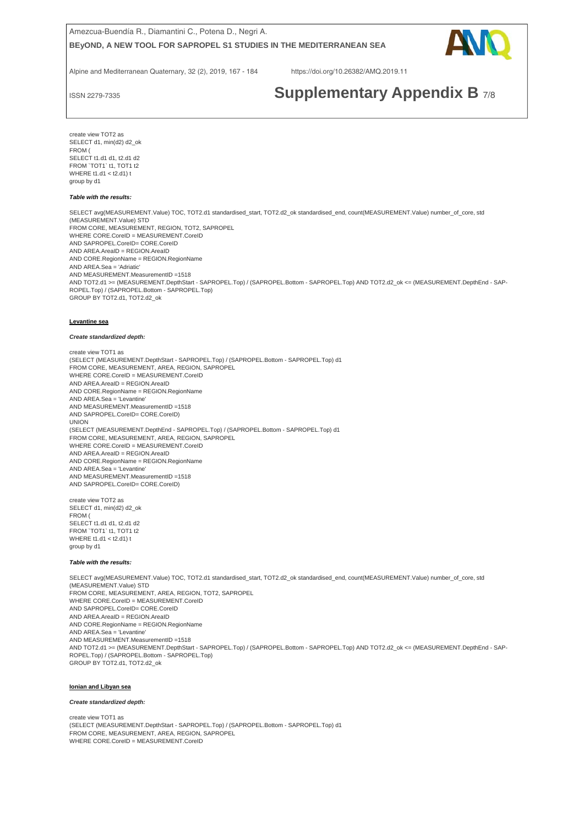

Alpine and Mediterranean Quaternary, 32 (2), 2019, 167 - 184 https://doi.org/10.26382/AMQ.2019.11

# ISSN 2279-7335 **Supplementary Appendix B** 7/8

 FROM ( create view TOT2 as SELECT d1, min(d2) d2\_ok SELECT t1.d1 d1, t2.d1 d2 FROM `TOT1` t1, TOT1 t2 WHERE t1.d1 < t2.d1) t group by d1

#### *Table with the results:*

SELECT avg(MEASUREMENT.Value) TOC, TOT2.d1 standardised\_start, TOT2.d2\_ok standardised\_end, count(MEASUREMENT.Value) number\_of\_core, std (MEASUREMENT.Value) STD FROM CORE, MEASUREMENT, REGION, TOT2, SAPROPEL WHERE CORE.CoreID = MEASUREMENT.CoreID AND SAPROPEL.CoreID= CORE.CoreID AND AREA.AreaID = REGION.AreaID AND CORE.RegionName = REGION.RegionName AND AREA.Sea = 'Adriatic' AND MEASUREMENT.MeasurementID =1518 AND TOT2.d1 >= (MEASUREMENT.DepthStart - SAPROPEL.Top) / (SAPROPEL.Bottom - SAPROPEL.Top) AND TOT2.d2\_ok <= (MEASUREMENT.DepthEnd - SAP-ROPEL.Top) / (SAPROPEL.Bottom - SAPROPEL.Top) GROUP BY TOT2.d1, TOT2.d2\_ok

#### **Levantine sea**

#### *Create standardized depth:*

create view TOT1 as (SELECT (MEASUREMENT.DepthStart - SAPROPEL.Top) / (SAPROPEL.Bottom - SAPROPEL.Top) d1 FROM CORE, MEASUREMENT, AREA, REGION, SAPROPEL WHERE CORE CoreID = MEASUREMENT CoreID AND AREA.AreaID = REGION.AreaID AND CORE.RegionName = REGION.RegionName AND AREA.Sea = 'Levantine' AND MEASUREMENT.MeasurementID =1518 AND SAPROPEL.CoreID= CORE.CoreID) UNION (SELECT (MEASUREMENT.DepthEnd - SAPROPEL.Top) / (SAPROPEL.Bottom - SAPROPEL.Top) d1 FROM CORE, MEASUREMENT, AREA, REGION, SAPROPEL WHERE CORE.CoreID = MEASUREMENT.CoreID AND AREA.AreaID = REGION.AreaID AND CORE.RegionName = REGION.RegionName AND AREA.Sea = 'Levantine' AND MEASUREMENT.MeasurementID =1518 AND SAPROPEL.CoreID= CORE.CoreID)

create view TOT2 as SELECT d1, min(d2) d2\_ok FROM ( SELECT t1.d1 d1, t2.d1 d2 FROM `TOT1` t1, TOT1 t2 WHERE t1.d1 < t2.d1) t group by d1

#### *Table with the results:*

SELECT avg(MEASUREMENT.Value) TOC, TOT2.d1 standardised\_start, TOT2.d2\_ok standardised\_end, count(MEASUREMENT.Value) number\_of\_core, std (MEASUREMENT.Value) STD FROM CORE, MEASUREMENT, AREA, REGION, TOT2, SAPROPEL WHERE CORE.CoreID = MEASUREMENT.CoreID AND SAPROPEL CoreID= CORE CoreID AND AREA.AreaID = REGION.AreaID AND CORE.RegionName = REGION.RegionName AND AREA.Sea = 'Levantine' AND MEASUREMENT.MeasurementID =1518 AND TOT2.d1 >= (MEASUREMENT.DepthStart - SAPROPEL.Top) / (SAPROPEL.Bottom - SAPROPEL.Top) AND TOT2.d2\_ok <= (MEASUREMENT.DepthEnd - SAP-ROPEL.Top) / (SAPROPEL.Bottom - SAPROPEL.Top) GROUP BY TOT2.d1, TOT2.d2\_ok

#### **Ionian and Libyan sea**

#### *Create standardized depth:*

create view TOT1 as (SELECT (MEASUREMENT.DepthStart - SAPROPEL.Top) / (SAPROPEL.Bottom - SAPROPEL.Top) d1 FROM CORE, MEASUREMENT, AREA, REGION, SAPROPEL WHERE CORE.CoreID = MEASUREMENT.CoreID